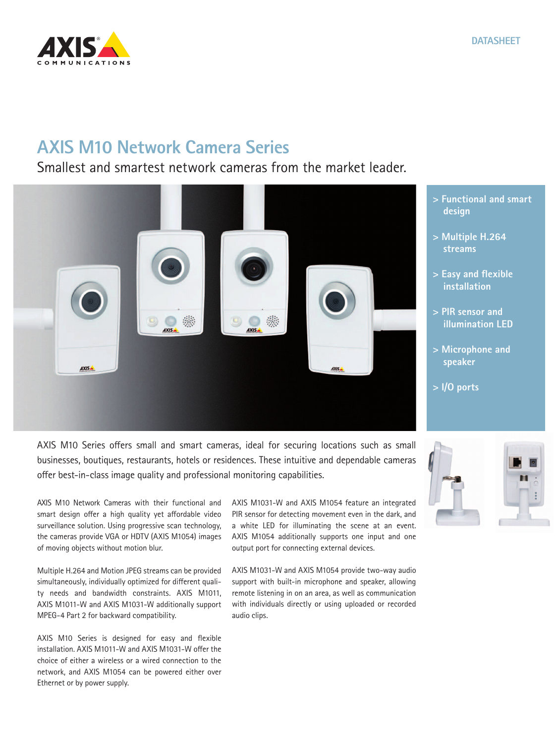

## **AXIS M10 Network Camera Series**

## Smallest and smartest network cameras from the market leader.



AXIS M10 Series offers small and smart cameras, ideal for securing locations such as small businesses, boutiques, restaurants, hotels or residences. These intuitive and dependable cameras offer best-in-class image quality and professional monitoring capabilities.

AXIS M10 Network Cameras with their functional and smart design offer a high quality yet affordable video surveillance solution. Using progressive scan technology, the cameras provide VGA or HDTV (AXIS M1054) images of moving objects without motion blur.

Multiple H.264 and Motion JPEG streams can be provided simultaneously, individually optimized for different quality needs and bandwidth constraints. AXIS M1011, AXIS M1011-W and AXIS M1031-W additionally support MPEG-4 Part 2 for backward compatibility.

AXIS M10 Series is designed for easy and flexible installation. AXIS M1011-W and AXIS M1031-W offer the choice of either a wireless or a wired connection to the network, and AXIS M1054 can be powered either over Ethernet or by power supply.

AXIS M1031-W and AXIS M1054 feature an integrated PIR sensor for detecting movement even in the dark, and a white LED for illuminating the scene at an event. AXIS M1054 additionally supports one input and one output port for connecting external devices.

AXIS M1031-W and AXIS M1054 provide two-way audio support with built-in microphone and speaker, allowing remote listening in on an area, as well as communication with individuals directly or using uploaded or recorded audio clips.